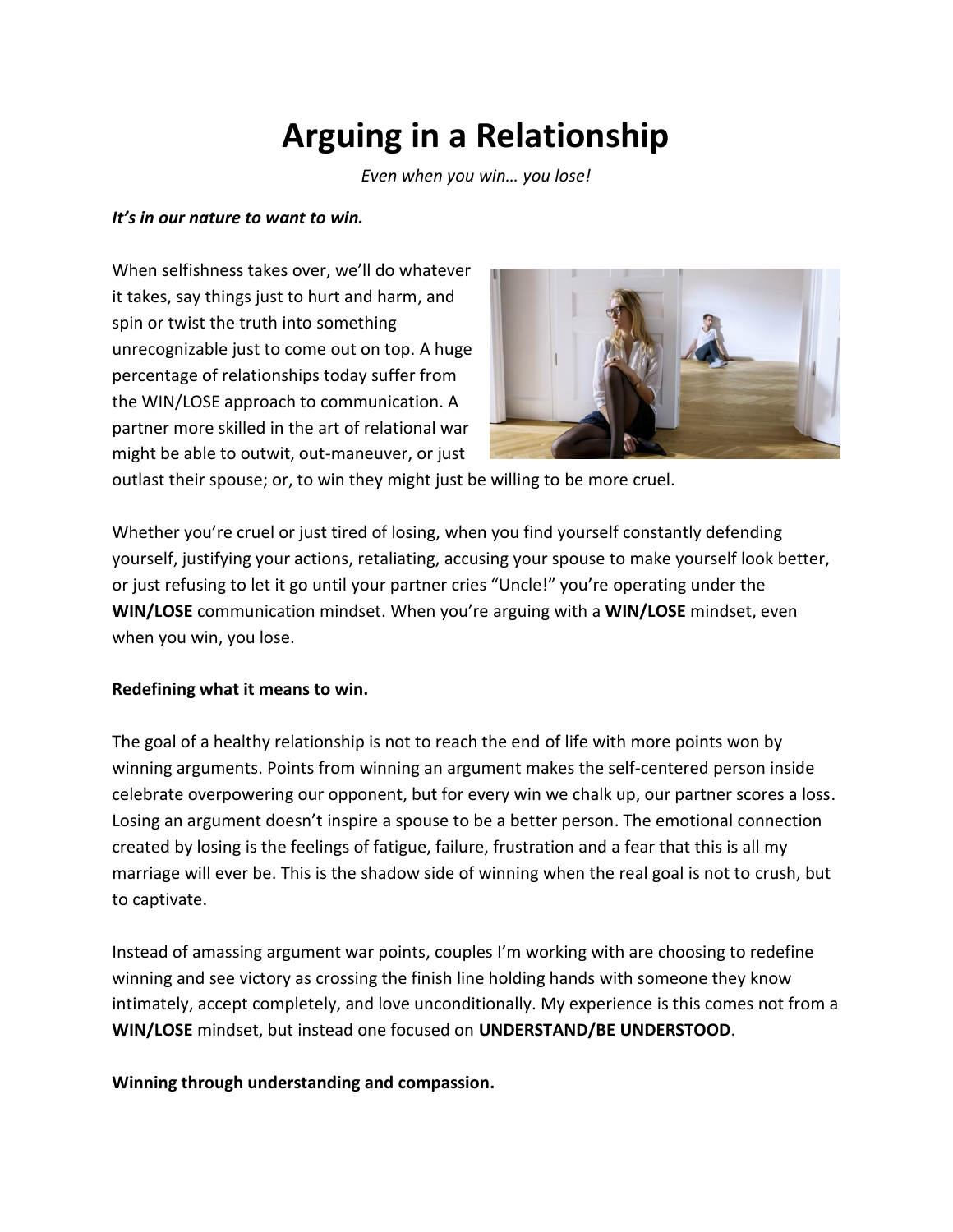# **Arguing in a Relationship**

*Even when you win… you lose!*

#### *It's in our nature to want to win.*

When selfishness takes over, we'll do whatever it takes, say things just to hurt and harm, and spin or twist the truth into something unrecognizable just to come out on top. A huge percentage of relationships today suffer from the WIN/LOSE approach to communication. A partner more skilled in the art of relational war might be able to outwit, out-maneuver, or just



outlast their spouse; or, to win they might just be willing to be more cruel.

Whether you're cruel or just tired of losing, when you find yourself constantly defending yourself, justifying your actions, retaliating, accusing your spouse to make yourself look better, or just refusing to let it go until your partner cries "Uncle!" you're operating under the **WIN/LOSE** communication mindset. When you're arguing with a **WIN/LOSE** mindset, even when you win, you lose.

### **Redefining what it means to win.**

The goal of a healthy relationship is not to reach the end of life with more points won by winning arguments. Points from winning an argument makes the self-centered person inside celebrate overpowering our opponent, but for every win we chalk up, our partner scores a loss. Losing an argument doesn't inspire a spouse to be a better person. The emotional connection created by losing is the feelings of fatigue, failure, frustration and a fear that this is all my marriage will ever be. This is the shadow side of winning when the real goal is not to crush, but to captivate.

Instead of amassing argument war points, couples I'm working with are choosing to redefine winning and see victory as crossing the finish line holding hands with someone they know intimately, accept completely, and love unconditionally. My experience is this comes not from a **WIN/LOSE** mindset, but instead one focused on **UNDERSTAND/BE UNDERSTOOD**.

### **Winning through understanding and compassion.**